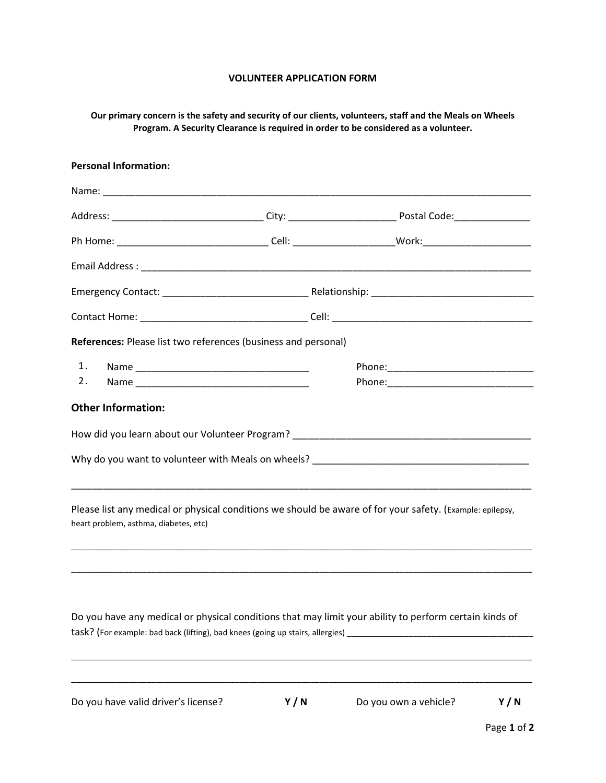## **VOLUNTEER APPLICATION FORM**

## **Our primary concern is the safety and security of our clients, volunteers, staff and the Meals on Wheels Program. A Security Clearance is required in order to be considered as a volunteer.**

| <b>Personal Information:</b>          |                                                                                                                                                                                                                                |                                                                                                                |
|---------------------------------------|--------------------------------------------------------------------------------------------------------------------------------------------------------------------------------------------------------------------------------|----------------------------------------------------------------------------------------------------------------|
|                                       |                                                                                                                                                                                                                                |                                                                                                                |
|                                       |                                                                                                                                                                                                                                | Address: _________________________________City: ________________________________Postal Code:__________________ |
|                                       |                                                                                                                                                                                                                                |                                                                                                                |
|                                       |                                                                                                                                                                                                                                |                                                                                                                |
|                                       |                                                                                                                                                                                                                                |                                                                                                                |
|                                       |                                                                                                                                                                                                                                |                                                                                                                |
|                                       | References: Please list two references (business and personal)                                                                                                                                                                 |                                                                                                                |
| 1.                                    |                                                                                                                                                                                                                                |                                                                                                                |
| 2.                                    | Name and the state of the state of the state of the state of the state of the state of the state of the state of the state of the state of the state of the state of the state of the state of the state of the state of the s |                                                                                                                |
| <b>Other Information:</b>             |                                                                                                                                                                                                                                |                                                                                                                |
| heart problem, asthma, diabetes, etc) |                                                                                                                                                                                                                                | Please list any medical or physical conditions we should be aware of for your safety. (Example: epilepsy,      |
|                                       |                                                                                                                                                                                                                                | Do you have any medical or physical conditions that may limit your ability to perform certain kinds of         |

\_\_\_\_\_\_\_\_\_\_\_\_\_\_\_\_\_\_\_\_\_\_\_\_\_\_\_\_\_\_\_\_\_\_\_\_\_\_\_\_\_\_\_\_\_\_\_\_\_\_\_\_\_\_\_\_\_\_\_\_\_\_\_\_\_\_\_\_\_\_\_\_\_\_\_\_\_\_\_\_\_\_\_\_\_\_\_\_\_\_\_\_\_\_\_\_\_\_\_\_\_\_\_\_

Do you have valid driver's license? **Y / N** Do you own a vehicle? **Y / N**